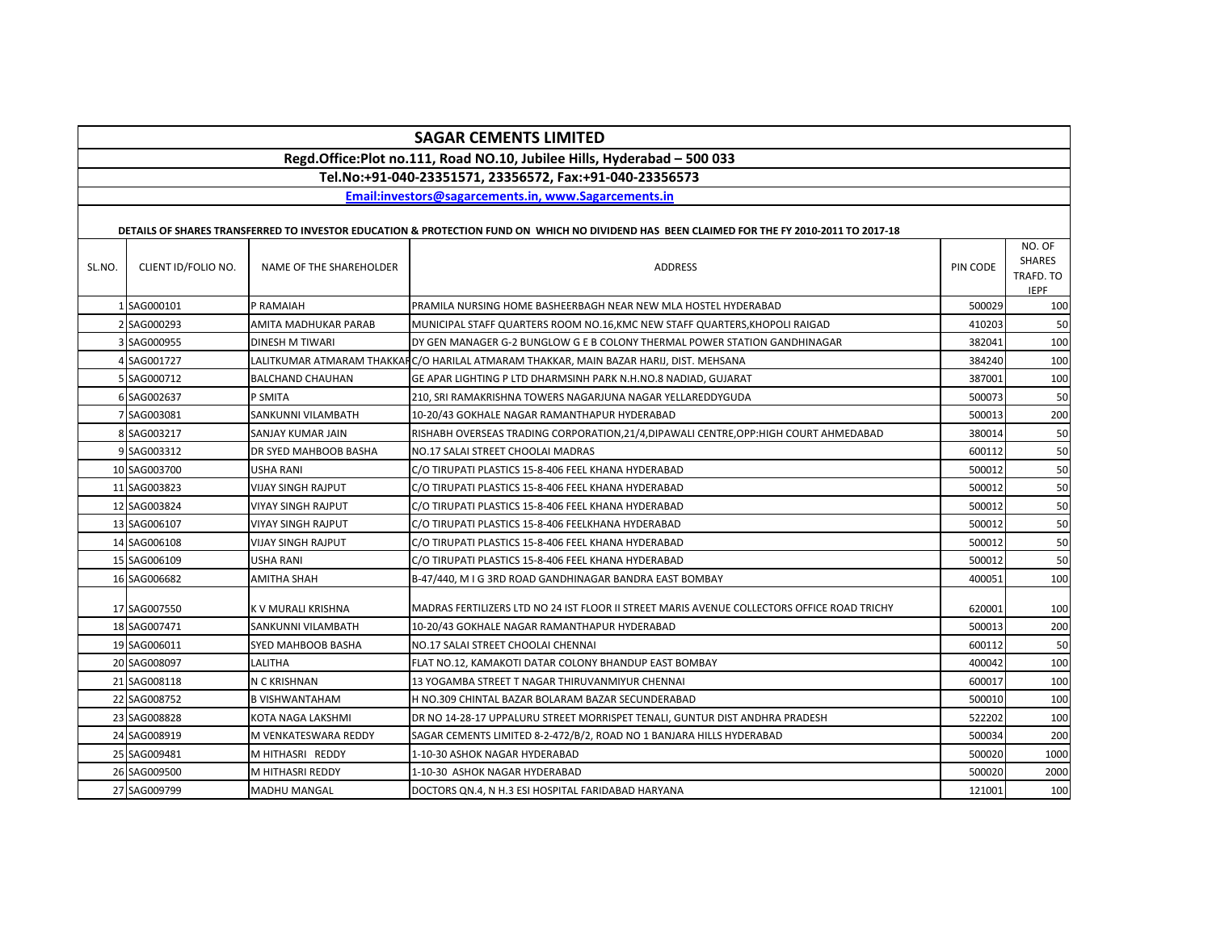# **SAGAR CEMENTS LIMITED**

## **Regd.Office:Plot no.111, Road NO.10, Jubilee Hills, Hyderabad – 500 033**

**Tel.No:+91-040-23351571, 23356572, Fax:+91-040-23356573**

**[E](http://www.sagarcements.in/)mail:investors@sagarcements.in, www.Sagarcements.in**

#### **DETAILS OF SHARES TRANSFERRED TO INVESTOR EDUCATION & PROTECTION FUND ON WHICH NO DIVIDEND HAS BEEN CLAIMED FOR THE FY 2010-2011 TO 2017-18**

| SL.NO. | CLIENT ID/FOLIO NO. | NAME OF THE SHAREHOLDER                                                                | <b>ADDRESS</b>                                                                              | PIN CODE | NO. OF<br><b>SHARES</b><br>TRAFD. TO<br><b>IEPF</b> |
|--------|---------------------|----------------------------------------------------------------------------------------|---------------------------------------------------------------------------------------------|----------|-----------------------------------------------------|
|        | 1 SAG000101         | P RAMAIAH                                                                              | PRAMILA NURSING HOME BASHEERBAGH NEAR NEW MLA HOSTEL HYDERABAD                              |          | 100                                                 |
|        | 2 SAG000293         | AMITA MADHUKAR PARAB                                                                   | MUNICIPAL STAFF QUARTERS ROOM NO.16, KMC NEW STAFF QUARTERS, KHOPOLI RAIGAD                 | 410203   | 50                                                  |
|        | 3 SAG000955         | <b>DINESH M TIWARI</b>                                                                 | DY GEN MANAGER G-2 BUNGLOW G E B COLONY THERMAL POWER STATION GANDHINAGAR                   | 382041   | 100                                                 |
|        | SAG001727           | LALITKUMAR ATMARAM THAKKAFC/O HARILAL ATMARAM THAKKAR, MAIN BAZAR HARIJ, DIST. MEHSANA |                                                                                             | 384240   | 100                                                 |
|        | 5 SAG000712         | <b>BALCHAND CHAUHAN</b>                                                                | GE APAR LIGHTING P LTD DHARMSINH PARK N.H.NO.8 NADIAD, GUJARAT                              | 387001   | 100                                                 |
|        | 6 SAG002637         | P SMITA                                                                                | 210, SRI RAMAKRISHNA TOWERS NAGARJUNA NAGAR YELLAREDDYGUDA                                  | 500073   | 50                                                  |
|        | 7 SAG003081         | SANKUNNI VILAMBATH                                                                     | 10-20/43 GOKHALE NAGAR RAMANTHAPUR HYDERABAD                                                | 500013   | 200                                                 |
|        | 8 SAG003217         | <b>SANJAY KUMAR JAIN</b>                                                               | RISHABH OVERSEAS TRADING CORPORATION, 21/4, DIPAWALI CENTRE, OPP: HIGH COURT AHMEDABAD      | 380014   | 50                                                  |
|        | 9 SAG003312         | DR SYED MAHBOOB BASHA                                                                  | NO.17 SALAI STREET CHOOLAI MADRAS                                                           | 600112   | 50                                                  |
|        | 10 SAG003700        | USHA RANI                                                                              | C/O TIRUPATI PLASTICS 15-8-406 FEEL KHANA HYDERABAD                                         | 500012   | 50                                                  |
|        | 11 SAG003823        | VIJAY SINGH RAJPUT                                                                     | C/O TIRUPATI PLASTICS 15-8-406 FEEL KHANA HYDERABAD                                         | 500012   | 50                                                  |
|        | 12 SAG003824        | <b>VIYAY SINGH RAJPUT</b>                                                              | C/O TIRUPATI PLASTICS 15-8-406 FEEL KHANA HYDERABAD                                         | 500012   | 50                                                  |
|        | 13 SAG006107        | <b>VIYAY SINGH RAJPUT</b>                                                              | C/O TIRUPATI PLASTICS 15-8-406 FEELKHANA HYDERABAD                                          | 500012   | 50                                                  |
|        | 14 SAG006108        | <b>VIJAY SINGH RAJPUT</b>                                                              | C/O TIRUPATI PLASTICS 15-8-406 FEEL KHANA HYDERABAD                                         | 500012   | 50                                                  |
|        | 15 SAG006109        | USHA RANI                                                                              | C/O TIRUPATI PLASTICS 15-8-406 FEEL KHANA HYDERABAD                                         | 500012   | 50                                                  |
|        | 16 SAG006682        | <b>AMITHA SHAH</b>                                                                     | B-47/440, M I G 3RD ROAD GANDHINAGAR BANDRA EAST BOMBAY                                     | 400051   | 100                                                 |
|        | 17 SAG007550        | K V MURALI KRISHNA                                                                     | MADRAS FERTILIZERS LTD NO 24 IST FLOOR II STREET MARIS AVENUE COLLECTORS OFFICE ROAD TRICHY | 620001   | 100                                                 |
|        | 18 SAG007471        | SANKUNNI VILAMBATH                                                                     | 10-20/43 GOKHALE NAGAR RAMANTHAPUR HYDERABAD                                                | 500013   | 200                                                 |
|        | 19 SAG006011        | SYED MAHBOOB BASHA                                                                     | NO.17 SALAI STREET CHOOLAI CHENNAI                                                          | 600112   | 50                                                  |
|        | 20 SAG008097        | LALITHA                                                                                | FLAT NO.12, KAMAKOTI DATAR COLONY BHANDUP EAST BOMBAY                                       | 400042   | 100                                                 |
|        | 21 SAG008118        | N C KRISHNAN                                                                           | 13 YOGAMBA STREET T NAGAR THIRUVANMIYUR CHENNAI                                             | 600017   | 100                                                 |
|        | 22 SAG008752        | <b>B VISHWANTAHAM</b>                                                                  | H NO.309 CHINTAL BAZAR BOLARAM BAZAR SECUNDERABAD                                           | 500010   | 100                                                 |
|        | 23 SAG008828        | KOTA NAGA LAKSHMI                                                                      | DR NO 14-28-17 UPPALURU STREET MORRISPET TENALI, GUNTUR DIST ANDHRA PRADESH                 | 522202   | 100                                                 |
|        | 24 SAG008919        | M VENKATESWARA REDDY                                                                   | SAGAR CEMENTS LIMITED 8-2-472/B/2, ROAD NO 1 BANJARA HILLS HYDERABAD                        | 500034   | 200                                                 |
|        | 25 SAG009481        | M HITHASRI REDDY                                                                       | 1-10-30 ASHOK NAGAR HYDERABAD                                                               | 500020   | 1000                                                |
|        | 26 SAG009500        | M HITHASRI REDDY                                                                       | 1-10-30 ASHOK NAGAR HYDERABAD                                                               | 500020   | 2000                                                |
|        | 27 SAG009799        | <b>MADHU MANGAL</b>                                                                    | DOCTORS QN.4, N H.3 ESI HOSPITAL FARIDABAD HARYANA                                          | 121001   | 100                                                 |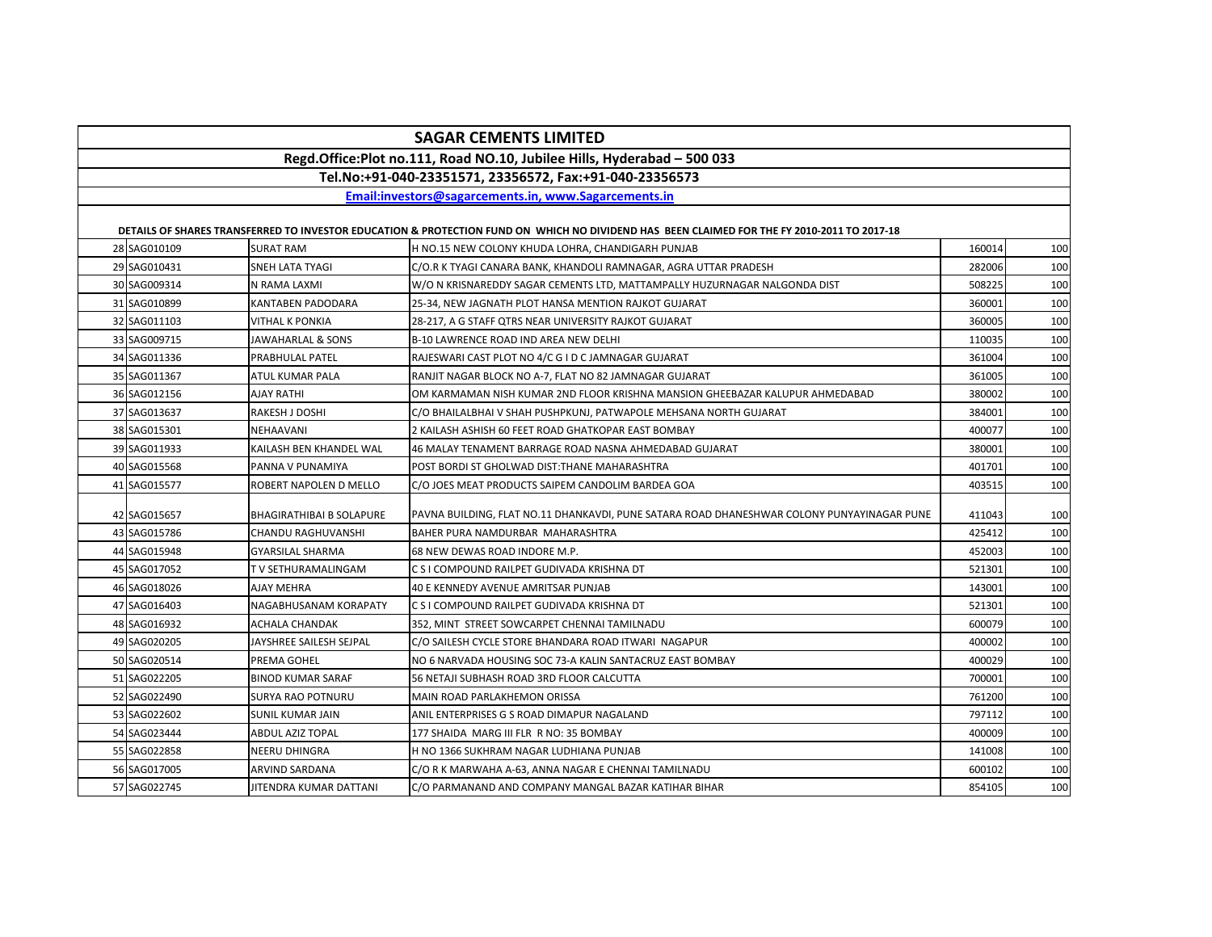| Regd.Office:Plot no.111, Road NO.10, Jubilee Hills, Hyderabad - 500 033                                                                     |              |                                 |                                                                                            |        |     |  |
|---------------------------------------------------------------------------------------------------------------------------------------------|--------------|---------------------------------|--------------------------------------------------------------------------------------------|--------|-----|--|
| Tel.No:+91-040-23351571, 23356572, Fax:+91-040-23356573                                                                                     |              |                                 |                                                                                            |        |     |  |
| Email:investors@sagarcements.in, www.Sagarcements.in                                                                                        |              |                                 |                                                                                            |        |     |  |
| DETAILS OF SHARES TRANSFERRED TO INVESTOR EDUCATION & PROTECTION FUND ON WHICH NO DIVIDEND HAS BEEN CLAIMED FOR THE FY 2010-2011 TO 2017-18 |              |                                 |                                                                                            |        |     |  |
|                                                                                                                                             | 28 SAG010109 | <b>SURAT RAM</b>                | H NO.15 NEW COLONY KHUDA LOHRA, CHANDIGARH PUNJAB                                          | 160014 | 100 |  |
|                                                                                                                                             | 29 SAG010431 | SNEH LATA TYAGI                 | C/O.R K TYAGI CANARA BANK, KHANDOLI RAMNAGAR, AGRA UTTAR PRADESH                           | 282006 | 100 |  |
|                                                                                                                                             | 30 SAG009314 | N RAMA LAXMI                    | W/O N KRISNAREDDY SAGAR CEMENTS LTD, MATTAMPALLY HUZURNAGAR NALGONDA DIST                  | 508225 | 100 |  |
|                                                                                                                                             | 31 SAG010899 | <b>KANTABEN PADODARA</b>        | 25-34, NEW JAGNATH PLOT HANSA MENTION RAJKOT GUJARAT                                       | 360001 | 100 |  |
|                                                                                                                                             | 32 SAG011103 | <b>VITHAL K PONKIA</b>          | 28-217. A G STAFF OTRS NEAR UNIVERSITY RAJKOT GUJARAT                                      | 360005 | 100 |  |
|                                                                                                                                             | 33 SAG009715 | <b>JAWAHARLAL &amp; SONS</b>    | B-10 LAWRENCE ROAD IND AREA NEW DELHI                                                      | 110035 | 100 |  |
|                                                                                                                                             | 34 SAG011336 | PRABHULAL PATEL                 | RAJESWARI CAST PLOT NO 4/C G I D C JAMNAGAR GUJARAT                                        | 361004 | 100 |  |
|                                                                                                                                             | 35 SAG011367 | ATUL KUMAR PALA                 | RANJIT NAGAR BLOCK NO A-7, FLAT NO 82 JAMNAGAR GUJARAT                                     | 361005 | 100 |  |
|                                                                                                                                             | 36 SAG012156 | AJAY RATHI                      | OM KARMAMAN NISH KUMAR 2ND FLOOR KRISHNA MANSION GHEEBAZAR KALUPUR AHMEDABAD               | 380002 | 100 |  |
|                                                                                                                                             | 37 SAG013637 | RAKESH J DOSHI                  | C/O BHAILALBHAI V SHAH PUSHPKUNJ, PATWAPOLE MEHSANA NORTH GUJARAT                          | 384001 | 100 |  |
|                                                                                                                                             | 38 SAG015301 | NEHAAVANI                       | 2 KAILASH ASHISH 60 FEET ROAD GHATKOPAR EAST BOMBAY                                        | 400077 | 100 |  |
|                                                                                                                                             | 39 SAG011933 | KAILASH BEN KHANDEL WAL         | 46 MALAY TENAMENT BARRAGE ROAD NASNA AHMEDABAD GUJARAT                                     | 380001 | 100 |  |
|                                                                                                                                             | 40 SAG015568 | PANNA V PUNAMIYA                | POST BORDI ST GHOLWAD DIST: THANE MAHARASHTRA                                              | 401701 | 100 |  |
|                                                                                                                                             | 41 SAG015577 | ROBERT NAPOLEN D MELLO          | C/O JOES MEAT PRODUCTS SAIPEM CANDOLIM BARDEA GOA                                          | 403515 | 100 |  |
|                                                                                                                                             | 42 SAG015657 | <b>BHAGIRATHIBAI B SOLAPURE</b> | PAVNA BUILDING, FLAT NO.11 DHANKAVDI, PUNE SATARA ROAD DHANESHWAR COLONY PUNYAYINAGAR PUNE | 411043 | 100 |  |
|                                                                                                                                             | 43 SAG015786 | CHANDU RAGHUVANSHI              | BAHER PURA NAMDURBAR MAHARASHTRA                                                           | 425412 | 100 |  |
|                                                                                                                                             | 44 SAG015948 | <b>GYARSILAL SHARMA</b>         | 68 NEW DEWAS ROAD INDORE M.P.                                                              | 452003 | 100 |  |
|                                                                                                                                             | 45 SAG017052 | T V SETHURAMALINGAM             | C S I COMPOUND RAILPET GUDIVADA KRISHNA DT                                                 | 521301 | 100 |  |
|                                                                                                                                             | 46 SAG018026 | AJAY MEHRA                      | 40 E KENNEDY AVENUE AMRITSAR PUNJAB                                                        | 143001 | 100 |  |
|                                                                                                                                             | 47 SAG016403 | NAGABHUSANAM KORAPATY           | C S I COMPOUND RAILPET GUDIVADA KRISHNA DT                                                 | 521301 | 100 |  |
|                                                                                                                                             | 48 SAG016932 | ACHALA CHANDAK                  | 352, MINT STREET SOWCARPET CHENNAI TAMILNADU                                               | 600079 | 100 |  |
|                                                                                                                                             | 49 SAG020205 | JAYSHREE SAILESH SEJPAL         | C/O SAILESH CYCLE STORE BHANDARA ROAD ITWARI NAGAPUR                                       | 400002 | 100 |  |
|                                                                                                                                             | 50 SAG020514 | PREMA GOHEL                     | NO 6 NARVADA HOUSING SOC 73-A KALIN SANTACRUZ EAST BOMBAY                                  | 400029 | 100 |  |
|                                                                                                                                             | 51 SAG022205 | <b>BINOD KUMAR SARAF</b>        | 56 NETAJI SUBHASH ROAD 3RD FLOOR CALCUTTA                                                  | 700001 | 100 |  |
|                                                                                                                                             | 52 SAG022490 | SURYA RAO POTNURU               | MAIN ROAD PARLAKHEMON ORISSA                                                               | 761200 | 100 |  |
|                                                                                                                                             | 53 SAG022602 | SUNIL KUMAR JAIN                | ANIL ENTERPRISES G S ROAD DIMAPUR NAGALAND                                                 | 797112 | 100 |  |
|                                                                                                                                             | 54 SAG023444 | ABDUL AZIZ TOPAL                | 177 SHAIDA MARG III FLR R NO: 35 BOMBAY                                                    | 400009 | 100 |  |
|                                                                                                                                             | 55 SAG022858 | NEERU DHINGRA                   | H NO 1366 SUKHRAM NAGAR LUDHIANA PUNJAB                                                    | 141008 | 100 |  |
|                                                                                                                                             | 56 SAG017005 | ARVIND SARDANA                  | C/O R K MARWAHA A-63, ANNA NAGAR E CHENNAI TAMILNADU                                       | 600102 | 100 |  |
|                                                                                                                                             | 57 SAG022745 | JITENDRA KUMAR DATTANI          | C/O PARMANAND AND COMPANY MANGAL BAZAR KATIHAR BIHAR                                       | 854105 | 100 |  |

**SAGAR CEMENTS LIMITED**